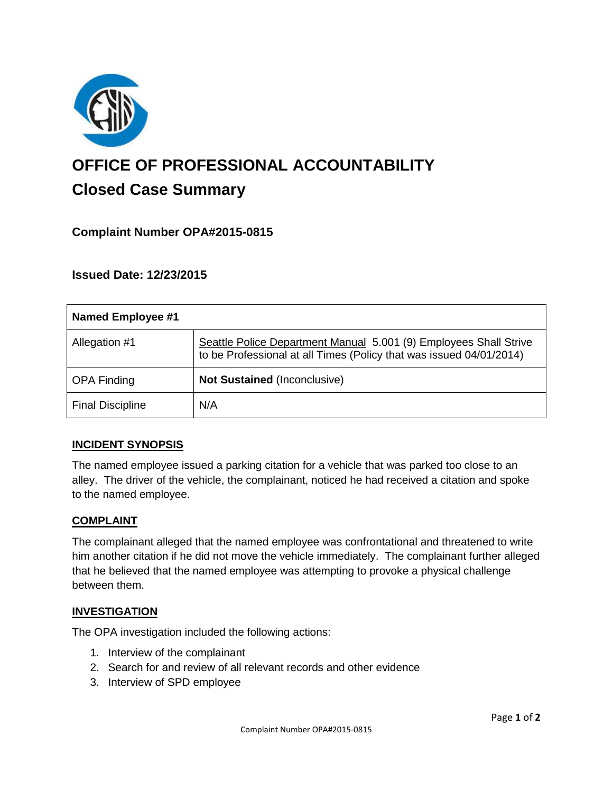

# **OFFICE OF PROFESSIONAL ACCOUNTABILITY Closed Case Summary**

## **Complaint Number OPA#2015-0815**

**Issued Date: 12/23/2015**

| <b>Named Employee #1</b> |                                                                                                                                          |
|--------------------------|------------------------------------------------------------------------------------------------------------------------------------------|
| Allegation #1            | Seattle Police Department Manual 5.001 (9) Employees Shall Strive<br>to be Professional at all Times (Policy that was issued 04/01/2014) |
| <b>OPA Finding</b>       | <b>Not Sustained (Inconclusive)</b>                                                                                                      |
| <b>Final Discipline</b>  | N/A                                                                                                                                      |

## **INCIDENT SYNOPSIS**

The named employee issued a parking citation for a vehicle that was parked too close to an alley. The driver of the vehicle, the complainant, noticed he had received a citation and spoke to the named employee.

#### **COMPLAINT**

The complainant alleged that the named employee was confrontational and threatened to write him another citation if he did not move the vehicle immediately. The complainant further alleged that he believed that the named employee was attempting to provoke a physical challenge between them.

#### **INVESTIGATION**

The OPA investigation included the following actions:

- 1. Interview of the complainant
- 2. Search for and review of all relevant records and other evidence
- 3. Interview of SPD employee